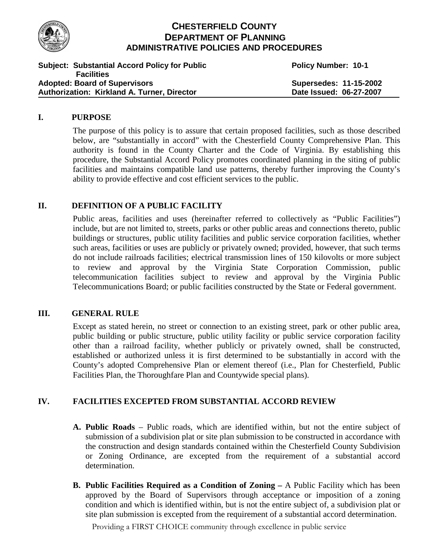

# **CHESTERFIELD COUNTY DEPARTMENT OF PLANNING ADMINISTRATIVE POLICIES AND PROCEDURES**

| <b>Subject: Substantial Accord Policy for Public</b> | <b>Policy Number: 10-1</b> |
|------------------------------------------------------|----------------------------|
| <b>Facilities</b>                                    |                            |
| <b>Adopted: Board of Supervisors</b>                 | Supersedes: 11-15-2002     |
| Authorization: Kirkland A. Turner, Director          | Date Issued: 06-27-2007    |

### **I. PURPOSE**

The purpose of this policy is to assure that certain proposed facilities, such as those described below, are "substantially in accord" with the Chesterfield County Comprehensive Plan. This authority is found in the County Charter and the Code of Virginia. By establishing this procedure, the Substantial Accord Policy promotes coordinated planning in the siting of public facilities and maintains compatible land use patterns, thereby further improving the County's ability to provide effective and cost efficient services to the public.

## **II. DEFINITION OF A PUBLIC FACILITY**

Public areas, facilities and uses (hereinafter referred to collectively as "Public Facilities") include, but are not limited to, streets, parks or other public areas and connections thereto, public buildings or structures, public utility facilities and public service corporation facilities, whether such areas, facilities or uses are publicly or privately owned; provided, however, that such terms do not include railroads facilities; electrical transmission lines of 150 kilovolts or more subject to review and approval by the Virginia State Corporation Commission, public telecommunication facilities subject to review and approval by the Virginia Public Telecommunications Board; or public facilities constructed by the State or Federal government.

## **III. GENERAL RULE**

Except as stated herein, no street or connection to an existing street, park or other public area, public building or public structure, public utility facility or public service corporation facility other than a railroad facility, whether publicly or privately owned, shall be constructed, established or authorized unless it is first determined to be substantially in accord with the County's adopted Comprehensive Plan or element thereof (i.e., Plan for Chesterfield, Public Facilities Plan, the Thoroughfare Plan and Countywide special plans).

## **IV. FACILITIES EXCEPTED FROM SUBSTANTIAL ACCORD REVIEW**

- **A. Public Roads** Public roads, which are identified within, but not the entire subject of submission of a subdivision plat or site plan submission to be constructed in accordance with the construction and design standards contained within the Chesterfield County Subdivision or Zoning Ordinance, are excepted from the requirement of a substantial accord determination.
- **B. Public Facilities Required as a Condition of Zoning –** A Public Facility which has been approved by the Board of Supervisors through acceptance or imposition of a zoning condition and which is identified within, but is not the entire subject of, a subdivision plat or site plan submission is excepted from the requirement of a substantial accord determination.

Providing a FIRST CHOICE community through excellence in public service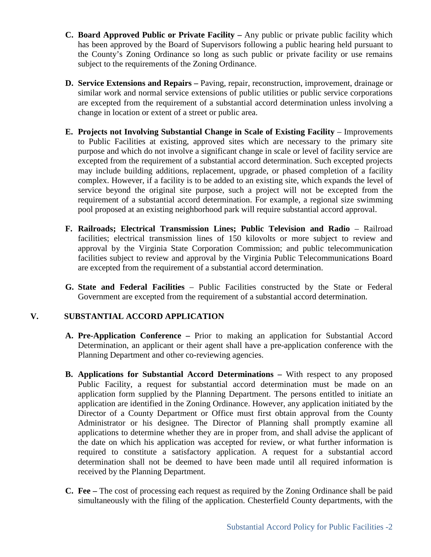- **C. Board Approved Public or Private Facility –** Any public or private public facility which has been approved by the Board of Supervisors following a public hearing held pursuant to the County's Zoning Ordinance so long as such public or private facility or use remains subject to the requirements of the Zoning Ordinance.
- **D. Service Extensions and Repairs –** Paving, repair, reconstruction, improvement, drainage or similar work and normal service extensions of public utilities or public service corporations are excepted from the requirement of a substantial accord determination unless involving a change in location or extent of a street or public area.
- **E. Projects not Involving Substantial Change in Scale of Existing Facility** Improvements to Public Facilities at existing, approved sites which are necessary to the primary site purpose and which do not involve a significant change in scale or level of facility service are excepted from the requirement of a substantial accord determination. Such excepted projects may include building additions, replacement, upgrade, or phased completion of a facility complex. However, if a facility is to be added to an existing site, which expands the level of service beyond the original site purpose, such a project will not be excepted from the requirement of a substantial accord determination. For example, a regional size swimming pool proposed at an existing neighborhood park will require substantial accord approval.
- **F. Railroads; Electrical Transmission Lines; Public Television and Radio** Railroad facilities; electrical transmission lines of 150 kilovolts or more subject to review and approval by the Virginia State Corporation Commission; and public telecommunication facilities subject to review and approval by the Virginia Public Telecommunications Board are excepted from the requirement of a substantial accord determination.
- **G. State and Federal Facilities** Public Facilities constructed by the State or Federal Government are excepted from the requirement of a substantial accord determination.

## **V. SUBSTANTIAL ACCORD APPLICATION**

- **A. Pre-Application Conference –** Prior to making an application for Substantial Accord Determination, an applicant or their agent shall have a pre-application conference with the Planning Department and other co-reviewing agencies.
- **B. Applications for Substantial Accord Determinations –** With respect to any proposed Public Facility, a request for substantial accord determination must be made on an application form supplied by the Planning Department. The persons entitled to initiate an application are identified in the Zoning Ordinance. However, any application initiated by the Director of a County Department or Office must first obtain approval from the County Administrator or his designee. The Director of Planning shall promptly examine all applications to determine whether they are in proper from, and shall advise the applicant of the date on which his application was accepted for review, or what further information is required to constitute a satisfactory application. A request for a substantial accord determination shall not be deemed to have been made until all required information is received by the Planning Department.
- **C. Fee –** The cost of processing each request as required by the Zoning Ordinance shall be paid simultaneously with the filing of the application. Chesterfield County departments, with the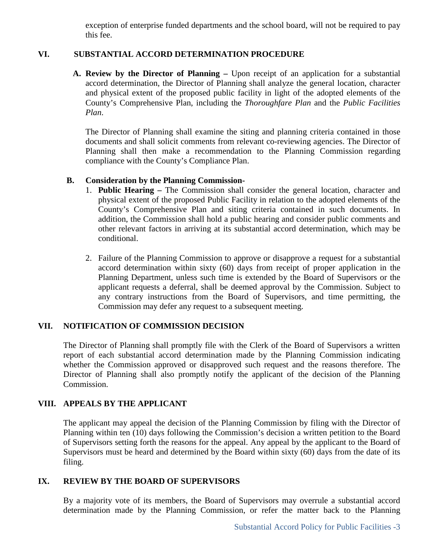exception of enterprise funded departments and the school board, will not be required to pay this fee.

### **VI. SUBSTANTIAL ACCORD DETERMINATION PROCEDURE**

**A. Review by the Director of Planning –** Upon receipt of an application for a substantial accord determination, the Director of Planning shall analyze the general location, character and physical extent of the proposed public facility in light of the adopted elements of the County's Comprehensive Plan, including the *Thoroughfare Plan* and the *Public Facilities Plan*.

The Director of Planning shall examine the siting and planning criteria contained in those documents and shall solicit comments from relevant co-reviewing agencies. The Director of Planning shall then make a recommendation to the Planning Commission regarding compliance with the County's Compliance Plan.

### **B. Consideration by the Planning Commission-**

- 1. **Public Hearing –** The Commission shall consider the general location, character and physical extent of the proposed Public Facility in relation to the adopted elements of the County's Comprehensive Plan and siting criteria contained in such documents. In addition, the Commission shall hold a public hearing and consider public comments and other relevant factors in arriving at its substantial accord determination, which may be conditional.
- 2. Failure of the Planning Commission to approve or disapprove a request for a substantial accord determination within sixty (60) days from receipt of proper application in the Planning Department, unless such time is extended by the Board of Supervisors or the applicant requests a deferral, shall be deemed approval by the Commission. Subject to any contrary instructions from the Board of Supervisors, and time permitting, the Commission may defer any request to a subsequent meeting.

## **VII. NOTIFICATION OF COMMISSION DECISION**

The Director of Planning shall promptly file with the Clerk of the Board of Supervisors a written report of each substantial accord determination made by the Planning Commission indicating whether the Commission approved or disapproved such request and the reasons therefore. The Director of Planning shall also promptly notify the applicant of the decision of the Planning Commission.

## **VIII. APPEALS BY THE APPLICANT**

The applicant may appeal the decision of the Planning Commission by filing with the Director of Planning within ten (10) days following the Commission's decision a written petition to the Board of Supervisors setting forth the reasons for the appeal. Any appeal by the applicant to the Board of Supervisors must be heard and determined by the Board within sixty (60) days from the date of its filing.

### **IX. REVIEW BY THE BOARD OF SUPERVISORS**

By a majority vote of its members, the Board of Supervisors may overrule a substantial accord determination made by the Planning Commission, or refer the matter back to the Planning